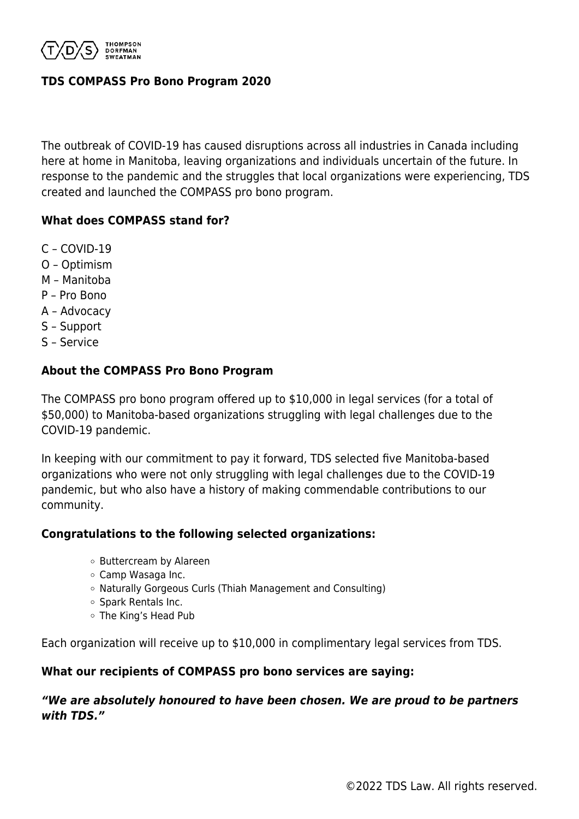

## **TDS COMPASS Pro Bono Program 2020**

The outbreak of COVID-19 has caused disruptions across all industries in Canada including here at home in Manitoba, leaving organizations and individuals uncertain of the future. In response to the pandemic and the struggles that local organizations were experiencing, TDS created and launched the COMPASS pro bono program.

# **What does COMPASS stand for?**

- C COVID-19
- O Optimism
- M Manitoba
- P Pro Bono
- A Advocacy
- S Support
- S Service

#### **About the COMPASS Pro Bono Program**

The COMPASS pro bono program offered up to \$10,000 in legal services (for a total of \$50,000) to Manitoba-based organizations struggling with legal challenges due to the COVID-19 pandemic.

In keeping with our commitment to pay it forward, TDS selected five Manitoba-based organizations who were not only struggling with legal challenges due to the COVID-19 pandemic, but who also have a history of making commendable contributions to our community.

#### **Congratulations to the following selected organizations:**

- Buttercream by Alareen
- Camp Wasaga Inc.
- Naturally Gorgeous Curls (Thiah Management and Consulting)
- Spark Rentals Inc.
- The King's Head Pub

Each organization will receive up to \$10,000 in complimentary legal services from TDS.

#### **What our recipients of COMPASS pro bono services are saying:**

## *"We are absolutely honoured to have been chosen. We are proud to be partners with TDS."*